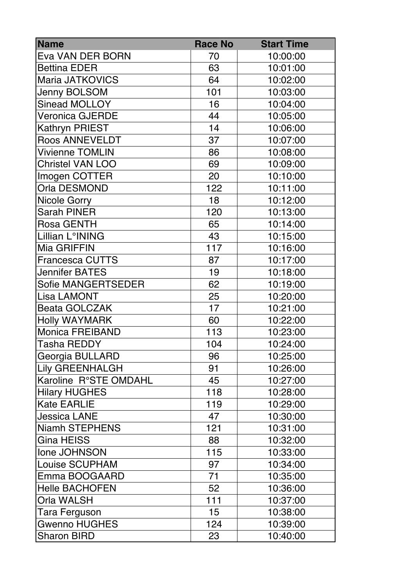| <b>Name</b>             | <b>Race No</b> | <b>Start Time</b> |
|-------------------------|----------------|-------------------|
| Eva VAN DER BORN        | 70             | 10:00:00          |
| <b>Bettina EDER</b>     | 63             | 10:01:00          |
| <b>Maria JATKOVICS</b>  | 64             | 10:02:00          |
| <b>Jenny BOLSOM</b>     | 101            | 10:03:00          |
| <b>Sinead MOLLOY</b>    | 16             | 10:04:00          |
| <b>Veronica GJERDE</b>  | 44             | 10:05:00          |
| <b>Kathryn PRIEST</b>   | 14             | 10:06:00          |
| <b>Roos ANNEVELDT</b>   | 37             | 10:07:00          |
| <b>Vivienne TOMLIN</b>  | 86             | 10:08:00          |
| <b>Christel VAN LOO</b> | 69             | 10:09:00          |
| Imogen COTTER           | 20             | 10:10:00          |
| Orla DESMOND            | 122            | 10:11:00          |
| Nicole Gorry            | 18             | 10:12:00          |
| <b>Sarah PINER</b>      | 120            | 10:13:00          |
| <b>Rosa GENTH</b>       | 65             | 10:14:00          |
| Lillian L°INING         | 43             | 10:15:00          |
| Mia GRIFFIN             | 117            | 10:16:00          |
| <b>Francesca CUTTS</b>  | 87             | 10:17:00          |
| <b>Jennifer BATES</b>   | 19             | 10:18:00          |
| Sofie MANGERTSEDER      | 62             | 10:19:00          |
| <b>Lisa LAMONT</b>      | 25             | 10:20:00          |
| <b>Beata GOLCZAK</b>    | 17             | 10:21:00          |
| <b>Holly WAYMARK</b>    | 60             | 10:22:00          |
| <b>Monica FREIBAND</b>  | 113            | 10:23:00          |
| <b>Tasha REDDY</b>      | 104            | 10:24:00          |
| Georgia BULLARD         | 96             | 10:25:00          |
| <b>Lily GREENHALGH</b>  | 91             | 10:26:00          |
| Karoline R°STE OMDAHL   | 45             | 10:27:00          |
| <b>Hilary HUGHES</b>    | 118            | 10:28:00          |
| <b>Kate EARLIE</b>      | 119            | 10:29:00          |
| <b>Jessica LANE</b>     | 47             | 10:30:00          |
| <b>Niamh STEPHENS</b>   | 121            | 10:31:00          |
| <b>Gina HEISS</b>       | 88             | 10:32:00          |
| Ione JOHNSON            | 115            | 10:33:00          |
| <b>Louise SCUPHAM</b>   | 97             | 10:34:00          |
| Emma BOOGAARD           | 71             | 10:35:00          |
| <b>Helle BACHOFEN</b>   | 52             | 10:36:00          |
| Orla WALSH              | 111            | 10:37:00          |
| Tara Ferguson           | 15             | 10:38:00          |
| <b>Gwenno HUGHES</b>    | 124            | 10:39:00          |
| <b>Sharon BIRD</b>      | 23             | 10:40:00          |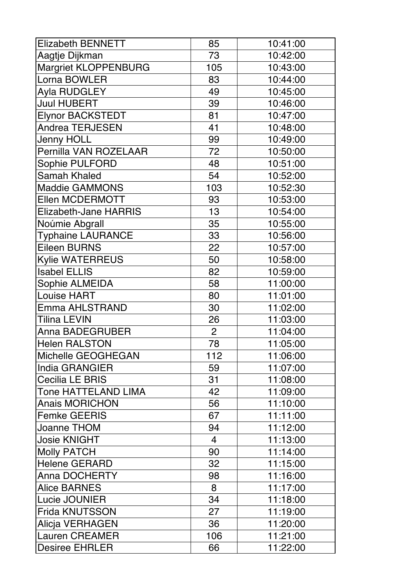| <b>Elizabeth BENNETT</b>     | 85             | 10:41:00 |
|------------------------------|----------------|----------|
| Aagtje Dijkman               | 73             | 10:42:00 |
| <b>Margriet KLOPPENBURG</b>  | 105            | 10:43:00 |
| Lorna BOWLER                 | 83             | 10:44:00 |
| Ayla RUDGLEY                 | 49             | 10:45:00 |
| <b>Juul HUBERT</b>           | 39             | 10:46:00 |
| <b>Elynor BACKSTEDT</b>      | 81             | 10:47:00 |
| Andrea TERJESEN              | 41             | 10:48:00 |
| Jenny HOLL                   | 99             | 10:49:00 |
| Pernilla VAN ROZELAAR        | 72             | 10:50:00 |
| Sophie PULFORD               | 48             | 10:51:00 |
| <b>Samah Khaled</b>          | 54             | 10:52:00 |
| <b>Maddie GAMMONS</b>        | 103            | 10:52:30 |
| Ellen MCDERMOTT              | 93             | 10:53:00 |
| <b>Elizabeth-Jane HARRIS</b> | 13             | 10:54:00 |
| Noúmie Abgrall               | 35             | 10:55:00 |
| <b>Typhaine LAURANCE</b>     | 33             | 10:56:00 |
| <b>Eileen BURNS</b>          | 22             | 10:57:00 |
| <b>Kylie WATERREUS</b>       | 50             | 10:58:00 |
| <b>Isabel ELLIS</b>          | 82             | 10:59:00 |
| Sophie ALMEIDA               | 58             | 11:00:00 |
| <b>Louise HART</b>           | 80             | 11:01:00 |
| <b>Emma AHLSTRAND</b>        | 30             | 11:02:00 |
| Tilina LEVIN                 | 26             | 11:03:00 |
| <b>Anna BADEGRUBER</b>       | $\overline{2}$ | 11:04:00 |
| <b>Helen RALSTON</b>         | 78             | 11:05:00 |
| Michelle GEOGHEGAN           | 112            | 11:06:00 |
| India GRANGIER               | 59             | 11:07:00 |
| Cecilia LE BRIS              | 31             | 11:08:00 |
| <b>Tone HATTELAND LIMA</b>   | 42             | 11:09:00 |
| <b>Anais MORICHON</b>        | 56             | 11:10:00 |
| <b>Femke GEERIS</b>          | 67             | 11:11:00 |
| Joanne THOM                  | 94             | 11:12:00 |
| Josie KNIGHT                 | $\overline{4}$ | 11:13:00 |
| <b>Molly PATCH</b>           | 90             | 11:14:00 |
| <b>Helene GERARD</b>         | 32             | 11:15:00 |
| <b>Anna DOCHERTY</b>         | 98             | 11:16:00 |
| <b>Alice BARNES</b>          | 8              | 11:17:00 |
| Lucie JOUNIER                | 34             | 11:18:00 |
| <b>Frida KNUTSSON</b>        | 27             | 11:19:00 |
| Alicja VERHAGEN              | 36             | 11:20:00 |
| <b>Lauren CREAMER</b>        | 106            | 11:21:00 |
| <b>Desiree EHRLER</b>        | 66             | 11:22:00 |